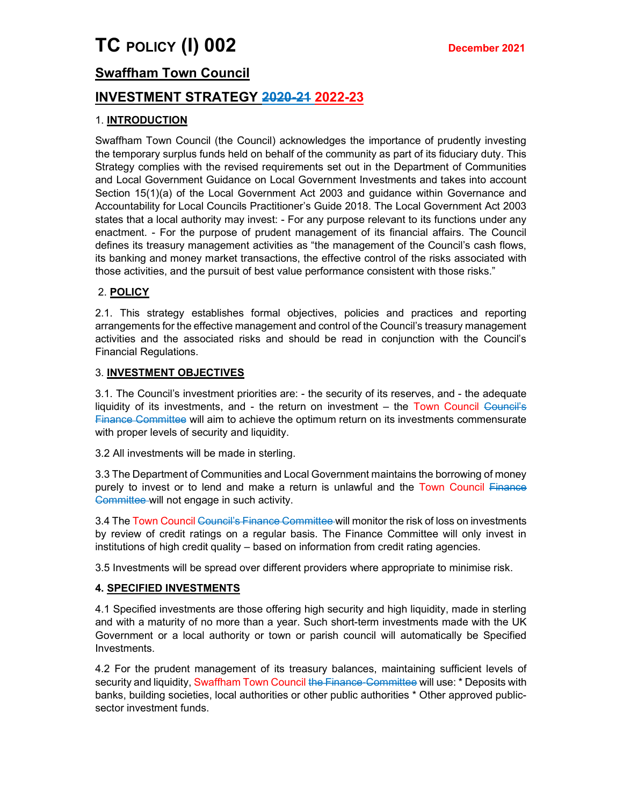# Swaffham Town Council

# INVESTMENT STRATEGY 2020-21 2022-23

# 1. INTRODUCTION

Swaffham Town Council (the Council) acknowledges the importance of prudently investing the temporary surplus funds held on behalf of the community as part of its fiduciary duty. This Strategy complies with the revised requirements set out in the Department of Communities and Local Government Guidance on Local Government Investments and takes into account Section 15(1)(a) of the Local Government Act 2003 and guidance within Governance and Accountability for Local Councils Practitioner's Guide 2018. The Local Government Act 2003 states that a local authority may invest: - For any purpose relevant to its functions under any enactment. - For the purpose of prudent management of its financial affairs. The Council defines its treasury management activities as "the management of the Council's cash flows, its banking and money market transactions, the effective control of the risks associated with those activities, and the pursuit of best value performance consistent with those risks."

# 2. POLICY

2.1. This strategy establishes formal objectives, policies and practices and reporting arrangements for the effective management and control of the Council's treasury management activities and the associated risks and should be read in conjunction with the Council's Financial Regulations.

## 3. INVESTMENT OBJECTIVES

3.1. The Council's investment priorities are: - the security of its reserves, and - the adequate liquidity of its investments, and - the return on investment – the Town Council Council's Finance Committee will aim to achieve the optimum return on its investments commensurate with proper levels of security and liquidity.

3.2 All investments will be made in sterling.

3.3 The Department of Communities and Local Government maintains the borrowing of money purely to invest or to lend and make a return is unlawful and the Town Council Finance Committee will not engage in such activity.

3.4 The Town Council Council's Finance Committee will monitor the risk of loss on investments by review of credit ratings on a regular basis. The Finance Committee will only invest in institutions of high credit quality – based on information from credit rating agencies.

3.5 Investments will be spread over different providers where appropriate to minimise risk.

#### 4. SPECIFIED INVESTMENTS

4.1 Specified investments are those offering high security and high liquidity, made in sterling and with a maturity of no more than a year. Such short-term investments made with the UK Government or a local authority or town or parish council will automatically be Specified Investments.

4.2 For the prudent management of its treasury balances, maintaining sufficient levels of security and liquidity, Swaffham Town Council the Finance-Committee will use: \* Deposits with banks, building societies, local authorities or other public authorities \* Other approved publicsector investment funds.